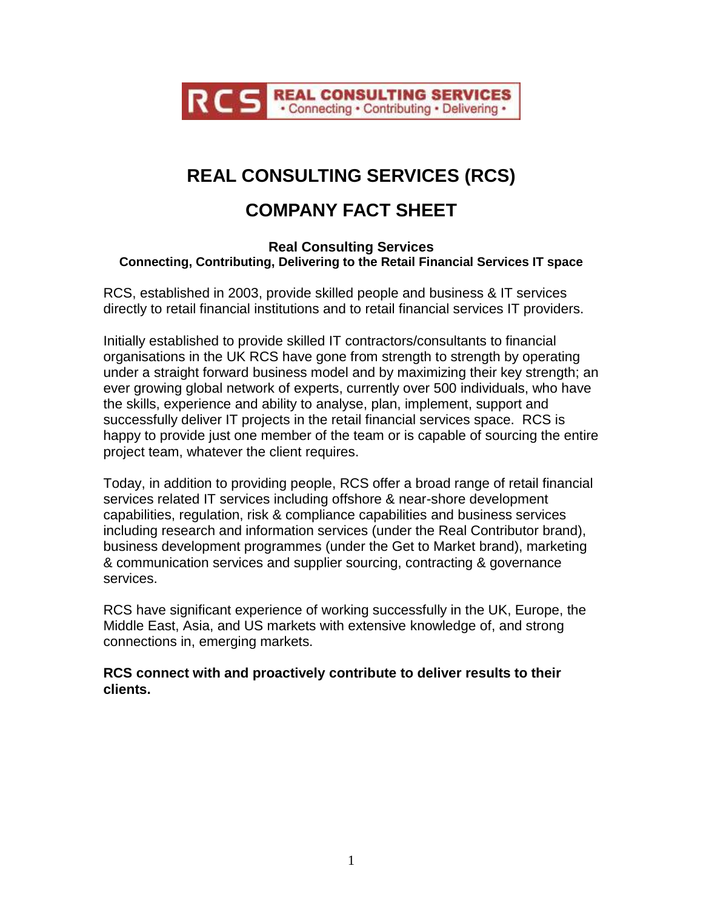

## **REAL CONSULTING SERVICES (RCS)**

## **COMPANY FACT SHEET**

## **Real Consulting Services Connecting, Contributing, Delivering to the Retail Financial Services IT space**

RCS, established in 2003, provide skilled people and business & IT services directly to retail financial institutions and to retail financial services IT providers.

Initially established to provide skilled IT contractors/consultants to financial organisations in the UK RCS have gone from strength to strength by operating under a straight forward business model and by maximizing their key strength; an ever growing global network of experts, currently over 500 individuals, who have the skills, experience and ability to analyse, plan, implement, support and successfully deliver IT projects in the retail financial services space. RCS is happy to provide just one member of the team or is capable of sourcing the entire project team, whatever the client requires.

Today, in addition to providing people, RCS offer a broad range of retail financial services related IT services including offshore & near-shore development capabilities, regulation, risk & compliance capabilities and business services including research and information services (under the Real Contributor brand), business development programmes (under the Get to Market brand), marketing & communication services and supplier sourcing, contracting & governance services.

RCS have significant experience of working successfully in the UK, Europe, the Middle East, Asia, and US markets with extensive knowledge of, and strong connections in, emerging markets.

**RCS connect with and proactively contribute to deliver results to their clients.**